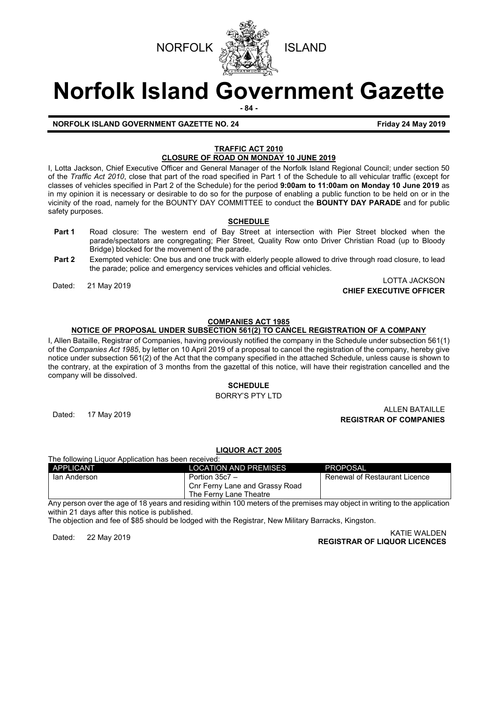



# **Norfolk Island Government Gazette**

**- 84 -**

#### **NORFOLK ISLAND GOVERNMENT GAZETTE NO. 24 Friday 24 May 2019**

#### **TRAFFIC ACT 2010 CLOSURE OF ROAD ON MONDAY 10 JUNE 2019**

I, Lotta Jackson, Chief Executive Officer and General Manager of the Norfolk Island Regional Council; under section 50 of the *Traffic Act 2010*, close that part of the road specified in Part 1 of the Schedule to all vehicular traffic (except for classes of vehicles specified in Part 2 of the Schedule) for the period **9:00am to 11:00am on Monday 10 June 2019** as in my opinion it is necessary or desirable to do so for the purpose of enabling a public function to be held on or in the vicinity of the road, namely for the BOUNTY DAY COMMITTEE to conduct the **BOUNTY DAY PARADE** and for public safety purposes.

#### **SCHEDULE**

- **Part 1** Road closure: The western end of Bay Street at intersection with Pier Street blocked when the parade/spectators are congregating; Pier Street, Quality Row onto Driver Christian Road (up to Bloody Bridge) blocked for the movement of the parade.
- **Part 2** Exempted vehicle: One bus and one truck with elderly people allowed to drive through road closure, to lead the parade; police and emergency services vehicles and official vehicles.

### Dated: 21 May 2019 LOTTA JACKSON **CHIEF EXECUTIVE OFFICER**

#### **COMPANIES ACT 1985**

### **NOTICE OF PROPOSAL UNDER SUBSECTION 561(2) TO CANCEL REGISTRATION OF A COMPANY**

I, Allen Bataille, Registrar of Companies, having previously notified the company in the Schedule under subsection 561(1) of the *Companies Act 1985*, by letter on 10 April 2019 of a proposal to cancel the registration of the company, hereby give notice under subsection 561(2) of the Act that the company specified in the attached Schedule, unless cause is shown to the contrary, at the expiration of 3 months from the gazettal of this notice, will have their registration cancelled and the company will be dissolved.

#### **SCHEDULE**

#### BORRY'S PTY LTD

#### ALLEN BATAILLE<br>Dated: 17 May 2019 And the state of the state of the state of the state of the state of the state of the state **REGISTRAR OF COMPANIES**

#### **LIQUOR ACT 2005** The following Liquor Application has been received:

| APPLICANT    | <b>LOCATION AND PREMISES</b>   | LPROPOSAL                     |
|--------------|--------------------------------|-------------------------------|
| lan Anderson | Portion 35c7 -                 | Renewal of Restaurant Licence |
|              | Cnr Ferny Lane and Grassy Road |                               |
|              | The Ferny Lane Theatre         |                               |

Any person over the age of 18 years and residing within 100 meters of the premises may object in writing to the application within 21 days after this notice is published.

The objection and fee of \$85 should be lodged with the Registrar, New Military Barracks, Kingston.

## KATIE WALDEN<br>**REGISTRAR OF LIQUOR LICENCES** (KATIE WALDEN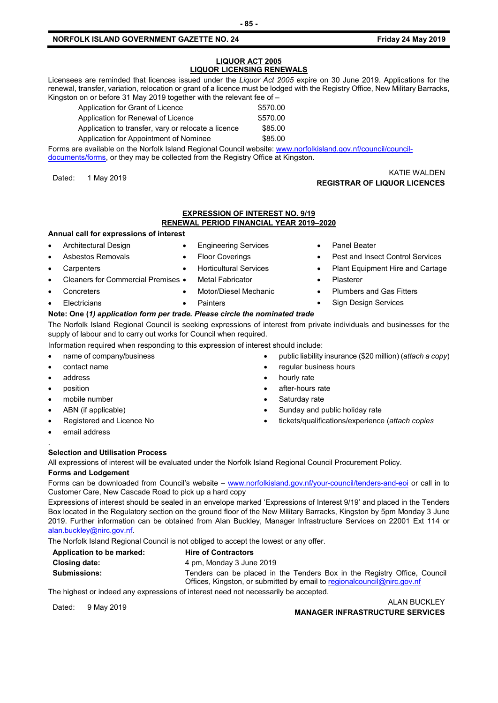#### **NORFOLK ISLAND GOVERNMENT GAZETTE NO. 24 Friday 24 May 2019**

#### **LIQUOR ACT 2005 LIQUOR LICENSING RENEWALS**

Licensees are reminded that licences issued under the *Liquor Act 2005* expire on 30 June 2019. Applications for the renewal, transfer, variation, relocation or grant of a licence must be lodged with the Registry Office, New Military Barracks, Kingston on or before 31 May 2019 together with the relevant fee of –

| Application for Grant of Licence                    | \$570.00 |
|-----------------------------------------------------|----------|
| Application for Renewal of Licence                  | \$570.00 |
| Application to transfer, vary or relocate a licence | \$85.00  |
| Application for Appointment of Nominee              | \$85.00  |

Forms are available on the Norfolk Island Regional Council website: [www.norfolkisland.gov.nf/council/council](http://www.norfolkisland.gov.nf/council/council-documents/forms)[documents/forms,](http://www.norfolkisland.gov.nf/council/council-documents/forms) or they may be collected from the Registry Office at Kingston.

KATIE WALDEN<br>**REGISTRAR OF LIQUOR LICENCES** (Kata angle of the set of the set of the set of the set of the set of the set of t

#### **EXPRESSION OF INTEREST NO. 9/19 RENEWAL PERIOD FINANCIAL YEAR 2019–2020**

#### **Annual call for expressions of interest**

- Architectural Design • Asbestos Removals
- Engineering Services • Floor Coverings

**Carpenters** 

• Concreters **Electricians** 

- Cleaners for Commercial Premises
- Horticultural Services
	- **Metal Fabricator** • Motor/Diesel Mechanic

**Painters** 

- Panel Beater
- Pest and Insect Control Services
- Plant Equipment Hire and Cartage
- Plasterer
- Plumbers and Gas Fitters
- Sign Design Services

### **Note: One (***1) application form per trade. Please circle the nominated trade*

The Norfolk Island Regional Council is seeking expressions of interest from private individuals and businesses for the supply of labour and to carry out works for Council when required.

Information required when responding to this expression of interest should include:

- name of company/business
- contact name
- address
- position

.

- mobile number
- ABN (if applicable)
- Registered and Licence No
- email address

#### **Selection and Utilisation Process**

All expressions of interest will be evaluated under the Norfolk Island Regional Council Procurement Policy.

#### **Forms and Lodgement**

Forms can be downloaded from Council's website – [www.norfolkisland.gov.nf/your-council/tenders-and-eoi](http://www.norfolkisland.gov.nf/your-council/tenders-and-eoi) or call in to Customer Care, New Cascade Road to pick up a hard copy

Expressions of interest should be sealed in an envelope marked 'Expressions of Interest 9/19' and placed in the Tenders Box located in the Regulatory section on the ground floor of the New Military Barracks, Kingston by 5pm Monday 3 June 2019. Further information can be obtained from Alan Buckley, Manager Infrastructure Services on 22001 Ext 114 or [alan.buckley@nirc.gov.nf.](mailto:alan.buckley@nirc.gov.nf) 

The Norfolk Island Regional Council is not obliged to accept the lowest or any offer.

| Application to be marked: | <b>Hire of Contractors</b>                                                |
|---------------------------|---------------------------------------------------------------------------|
| <b>Closing date:</b>      | 4 pm, Monday 3 June 2019                                                  |
| <b>Submissions:</b>       | Tenders can be placed in the Tenders Box in the Registry Office, Council  |
|                           | Offices, Kingston, or submitted by email to regional council @nirc.gov.nf |

The highest or indeed any expressions of interest need not necessarily be accepted.

ALAN BUCKLEY<br>MANAGER INFRASTRUCTURE SERVICES<br>MANAGER INFRASTRUCTURE SERVICES

- - public liability insurance (\$20 million) (*attach a copy*)
	- regular business hours
	- hourly rate
	- after-hours rate
	- Saturday rate
	- Sunday and public holiday rate
	- tickets/qualifications/experience (*attach copies*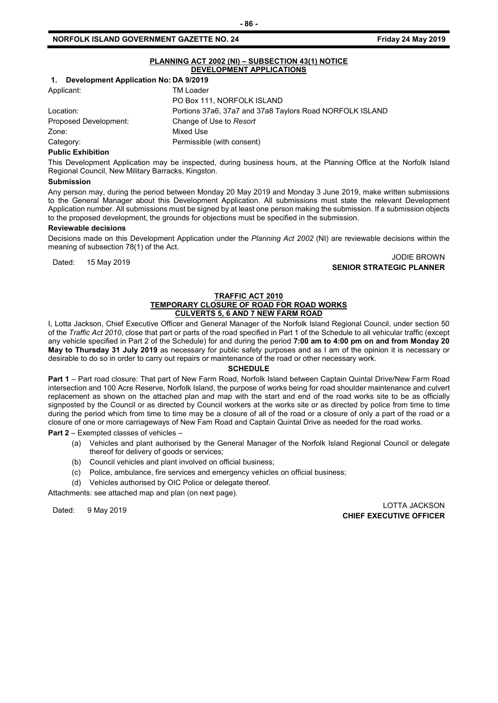|                                          | PLANNING ACT 2002 (NI) - SUBSECTION 43(1) NOTICE |
|------------------------------------------|--------------------------------------------------|
| <b>DEVELOPMENT APPLICATIONS</b>          |                                                  |
| 1. Development Application No: DA 9/2019 |                                                  |
| Applicant:                               | TM Loader                                        |
|                                          | DO DAY 444 NODEOU V IOLAND                       |

|                       | PO Box 111, NORFOLK ISLAND                               |
|-----------------------|----------------------------------------------------------|
| Location:             | Portions 37a6, 37a7 and 37a8 Taylors Road NORFOLK ISLAND |
| Proposed Development: | Change of Use to Resort                                  |
| Zone:                 | Mixed Use                                                |
| Category:             | Permissible (with consent)                               |
|                       |                                                          |

#### **Public Exhibition**

This Development Application may be inspected, during business hours, at the Planning Office at the Norfolk Island Regional Council, New Military Barracks, Kingston.

#### **Submission**

Any person may, during the period between Monday 20 May 2019 and Monday 3 June 2019, make written submissions to the General Manager about this Development Application. All submissions must state the relevant Development Application number. All submissions must be signed by at least one person making the submission. If a submission objects to the proposed development, the grounds for objections must be specified in the submission.

#### **Reviewable decisions**

Decisions made on this Development Application under the *Planning Act 2002* (NI) are reviewable decisions within the meaning of subsection 78(1) of the Act.

Dated: 15 May 2019<br>Dated: 15 May 2019 JODIE BROWN **SENIOR STRATEGIC PLANNER** 

#### **TRAFFIC ACT 2010 TEMPORARY CLOSURE OF ROAD FOR ROAD WORKS CULVERTS 5, 6 AND 7 NEW FARM ROAD**

I, Lotta Jackson, Chief Executive Officer and General Manager of the Norfolk Island Regional Council, under section 50 of the *Traffic Act 2010*, close that part or parts of the road specified in Part 1 of the Schedule to all vehicular traffic (except any vehicle specified in Part 2 of the Schedule) for and during the period **7:00 am to 4:00 pm on and from Monday 20 May to Thursday 31 July 2019** as necessary for public safety purposes and as I am of the opinion it is necessary or desirable to do so in order to carry out repairs or maintenance of the road or other necessary work.

#### **SCHEDULE**

**Part 1** – Part road closure: That part of New Farm Road, Norfolk Island between Captain Quintal Drive/New Farm Road intersection and 100 Acre Reserve, Norfolk Island, the purpose of works being for road shoulder maintenance and culvert replacement as shown on the attached plan and map with the start and end of the road works site to be as officially signposted by the Council or as directed by Council workers at the works site or as directed by police from time to time during the period which from time to time may be a closure of all of the road or a closure of only a part of the road or a closure of one or more carriageways of New Fam Road and Captain Quintal Drive as needed for the road works.

#### **Part 2** – Exempted classes of vehicles –

- (a) Vehicles and plant authorised by the General Manager of the Norfolk Island Regional Council or delegate thereof for delivery of goods or services;
- (b) Council vehicles and plant involved on official business;
- (c) Police, ambulance, fire services and emergency vehicles on official business;
- (d) Vehicles authorised by OIC Police or delegate thereof.

Attachments: see attached map and plan (on next page).

LOTTA JACKSON های است.<br>Curr ryrcuture of light **CHIEF EXECUTIVE OFFICER**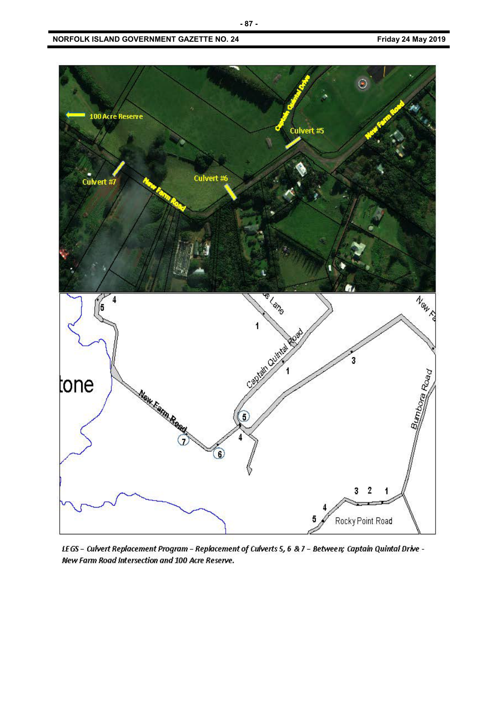

LEGS - Culvert Replacement Program - Replacement of Culverts 5, 6 & 7 - Between; Captain Quintal Drive -New Farm Road Intersection and 100 Acre Reserve.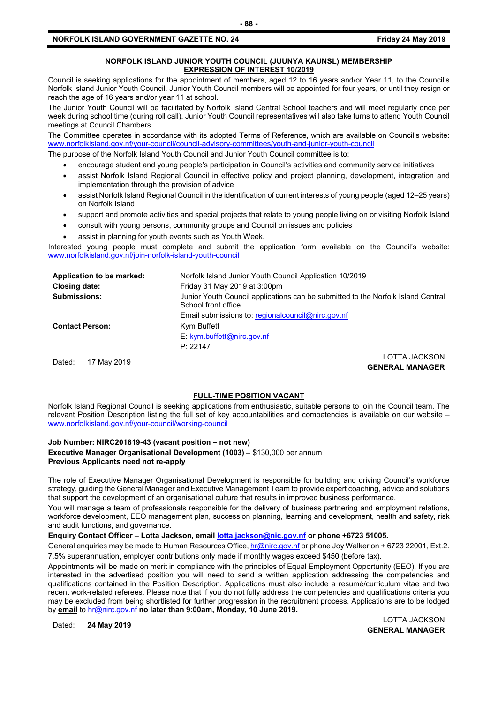#### **NORFOLK ISLAND JUNIOR YOUTH COUNCIL (JUUNYA KAUNSL) MEMBERSHIP EXPRESSION OF INTEREST 10/2019**

Council is seeking applications for the appointment of members, aged 12 to 16 years and/or Year 11, to the Council's Norfolk Island Junior Youth Council. Junior Youth Council members will be appointed for four years, or until they resign or reach the age of 16 years and/or year 11 at school.

The Junior Youth Council will be facilitated by Norfolk Island Central School teachers and will meet regularly once per week during school time (during roll call). Junior Youth Council representatives will also take turns to attend Youth Council meetings at Council Chambers.

The Committee operates in accordance with its adopted Terms of Reference, which are available on Council's website: [www.norfolkisland.gov.nf/your-council/council-advisory-committees/youth-and-junior-youth-council](http://www.norfolkisland.gov.nf/your-council/council-advisory-committees/youth-and-junior-youth-council)

The purpose of the Norfolk Island Youth Council and Junior Youth Council committee is to:

- encourage student and young people's participation in Council's activities and community service initiatives
- assist Norfolk Island Regional Council in effective policy and project planning, development, integration and implementation through the provision of advice
- assist Norfolk Island Regional Council in the identification of current interests of young people (aged 12–25 years) on Norfolk Island
- support and promote activities and special projects that relate to young people living on or visiting Norfolk Island
- consult with young persons, community groups and Council on issues and policies
- assist in planning for youth events such as Youth Week.

Interested young people must complete and submit the application form available on the Council's website: [www.norfolkisland.gov.nf/join-norfolk-island-youth-council](http://www.norfolkisland.gov.nf/join-norfolk-island-youth-council)

| Application to be marked: | Norfolk Island Junior Youth Council Application 10/2019                                                  |
|---------------------------|----------------------------------------------------------------------------------------------------------|
| Closing date:             | Friday 31 May 2019 at 3:00pm                                                                             |
| <b>Submissions:</b>       | Junior Youth Council applications can be submitted to the Norfolk Island Central<br>School front office. |
|                           | Email submissions to: regional council @nirc.gov.nf                                                      |
| <b>Contact Person:</b>    | Kym Buffett                                                                                              |
|                           | $E:$ kym.buffett@nirc.gov.nf                                                                             |
|                           | P: 22147                                                                                                 |
|                           | <b>LOTTA JACKSON</b>                                                                                     |
| 17 May 2019<br>Dated:     | CENEDAL MANIACED                                                                                         |

**GENERAL MANAGER**

#### **FULL-TIME POSITION VACANT**

Norfolk Island Regional Council is seeking applications from enthusiastic, suitable persons to join the Council team. The relevant Position Description listing the full set of key accountabilities and competencies is available on our website – [www.norfolkisland.gov.nf/your-council/working-council](http://www.norfolkisland.gov.nf/your-council/working-council)

#### **Job Number: NIRC201819-43 (vacant position – not new)**

**Executive Manager Organisational Development (1003) –** \$130,000 per annum **Previous Applicants need not re-apply**

The role of Executive Manager Organisational Development is responsible for building and driving Council's workforce strategy, guiding the General Manager and Executive Management Team to provide expert coaching, advice and solutions that support the development of an organisational culture that results in improved business performance.

You will manage a team of professionals responsible for the delivery of business partnering and employment relations, workforce development, EEO management plan, succession planning, learning and development, health and safety, risk and audit functions, and governance.

**Enquiry Contact Officer – Lotta Jackson, emai[l lotta.jackson@nic.gov.nf](mailto:lotta.jackson@nic.gov.nf) or phone +6723 51005.**

General enquiries may be made to Human Resources Office, [hr@nirc.gov.nf](mailto:hr@nirc.gov.nf) or phone Joy Walker on + 6723 22001, Ext.2.

7.5% superannuation, employer contributions only made if monthly wages exceed \$450 (before tax).

Appointments will be made on merit in compliance with the principles of Equal Employment Opportunity (EEO). If you are interested in the advertised position you will need to send a written application addressing the competencies and qualifications contained in the Position Description. Applications must also include a resumé/curriculum vitae and two recent work-related referees. Please note that if you do not fully address the competencies and qualifications criteria you may be excluded from being shortlisted for further progression in the recruitment process. Applications are to be lodged by **email** to [hr@nirc.gov.nf](mailto:hr@nirc.gov.nf) **no later than 9:00am, Monday, 10 June 2019.** 

Dated: **24 May 2019** LOTTA JACKSON **GENERAL MANAGER**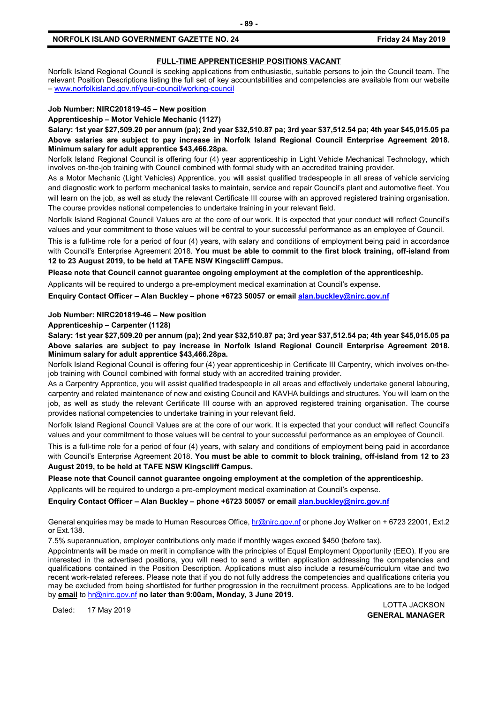#### **FULL-TIME APPRENTICESHIP POSITIONS VACANT**

Norfolk Island Regional Council is seeking applications from enthusiastic, suitable persons to join the Council team. The relevant Position Descriptions listing the full set of key accountabilities and competencies are available from our website – [www.norfolkisland.gov.nf/your-council/working-council](http://www.norfolkisland.gov.nf/your-council/working-council)

#### **Job Number: NIRC201819-45 – New position**

**Apprenticeship – Motor Vehicle Mechanic (1127)** 

**Salary: 1st year \$27,509.20 per annum (pa); 2nd year \$32,510.87 pa; 3rd year \$37,512.54 pa; 4th year \$45,015.05 pa Above salaries are subject to pay increase in Norfolk Island Regional Council Enterprise Agreement 2018. Minimum salary for adult apprentice \$43,466.28pa.**

Norfolk Island Regional Council is offering four (4) year apprenticeship in Light Vehicle Mechanical Technology, which involves on-the-job training with Council combined with formal study with an accredited training provider.

As a Motor Mechanic (Light Vehicles) Apprentice, you will assist qualified tradespeople in all areas of vehicle servicing and diagnostic work to perform mechanical tasks to maintain, service and repair Council's plant and automotive fleet. You will learn on the job, as well as study the relevant Certificate III course with an approved registered training organisation. The course provides national competencies to undertake training in your relevant field.

Norfolk Island Regional Council Values are at the core of our work. It is expected that your conduct will reflect Council's values and your commitment to those values will be central to your successful performance as an employee of Council.

This is a full-time role for a period of four (4) years, with salary and conditions of employment being paid in accordance with Council's Enterprise Agreement 2018. **You must be able to commit to the first block training, off-island from 12 to 23 August 2019, to be held at TAFE NSW Kingscliff Campus.** 

**Please note that Council cannot guarantee ongoing employment at the completion of the apprenticeship.** 

Applicants will be required to undergo a pre-employment medical examination at Council's expense.

**Enquiry Contact Officer – Alan Buckley – phone +6723 50057 or email [alan.buckley@nirc.gov.nf](mailto:alan.buckley@nirc.gov.nf)**

#### **Job Number: NIRC201819-46 – New position**

**Apprenticeship – Carpenter (1128)** 

**Salary: 1st year \$27,509.20 per annum (pa); 2nd year \$32,510.87 pa; 3rd year \$37,512.54 pa; 4th year \$45,015.05 pa Above salaries are subject to pay increase in Norfolk Island Regional Council Enterprise Agreement 2018. Minimum salary for adult apprentice \$43,466.28pa.**

Norfolk Island Regional Council is offering four (4) year apprenticeship in Certificate III Carpentry, which involves on-thejob training with Council combined with formal study with an accredited training provider.

As a Carpentry Apprentice, you will assist qualified tradespeople in all areas and effectively undertake general labouring, carpentry and related maintenance of new and existing Council and KAVHA buildings and structures. You will learn on the job, as well as study the relevant Certificate III course with an approved registered training organisation. The course provides national competencies to undertake training in your relevant field.

Norfolk Island Regional Council Values are at the core of our work. It is expected that your conduct will reflect Council's values and your commitment to those values will be central to your successful performance as an employee of Council.

This is a full-time role for a period of four (4) years, with salary and conditions of employment being paid in accordance with Council's Enterprise Agreement 2018. **You must be able to commit to block training, off-island from 12 to 23 August 2019, to be held at TAFE NSW Kingscliff Campus.** 

**Please note that Council cannot guarantee ongoing employment at the completion of the apprenticeship.** 

Applicants will be required to undergo a pre-employment medical examination at Council's expense.

**Enquiry Contact Officer – Alan Buckley – phone +6723 50057 or email [alan.buckley@nirc.gov.nf](mailto:alan.buckley@nirc.gov.nf)**

General enquiries may be made to Human Resources Office[, hr@nirc.gov.nf](mailto:hr@nirc.gov.nf) or phone Joy Walker on + 6723 22001, Ext.2 or Ext.138.

7.5% superannuation, employer contributions only made if monthly wages exceed \$450 (before tax).

Appointments will be made on merit in compliance with the principles of Equal Employment Opportunity (EEO). If you are interested in the advertised positions, you will need to send a written application addressing the competencies and qualifications contained in the Position Description. Applications must also include a resumé/curriculum vitae and two recent work-related referees. Please note that if you do not fully address the competencies and qualifications criteria you may be excluded from being shortlisted for further progression in the recruitment process. Applications are to be lodged by **email** to [hr@nirc.gov.nf](mailto:hr@nirc.gov.nf) **no later than 9:00am, Monday, 3 June 2019.** 

Dated: 17 May 2019 LOTTA JACKSON **GENERAL MANAGER**